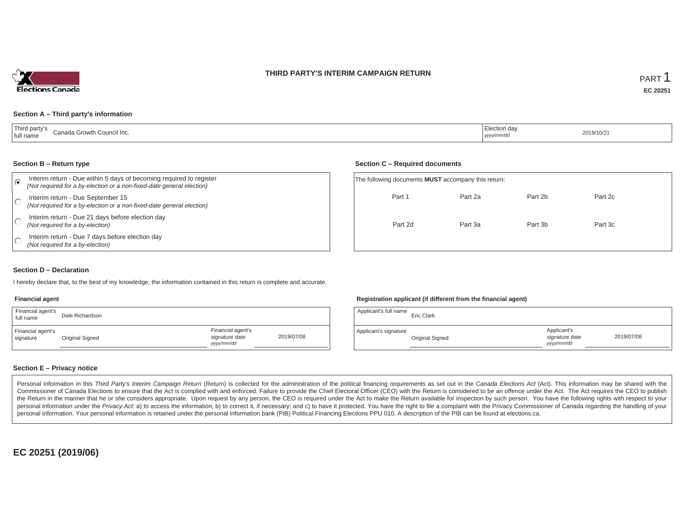### **THIRD PARTY'S INTERIM CAMPAIGN RETURN**



### **Section A – Third party's information**

| <sup>'</sup> Third party's<br>Canada Growth Council Inc.<br>I full name | Liection day<br>yyyy/mm/dd | 2019/10/21 |
|-------------------------------------------------------------------------|----------------------------|------------|
|-------------------------------------------------------------------------|----------------------------|------------|

#### **Section B – Return type**

| $\epsilon$ | Interim return - Due within 5 days of becoming required to register<br>(Not required for a by-election or a non-fixed-date general election) | The following documents <b>MUST</b> accompany this return: |         |         |         |  |  |
|------------|----------------------------------------------------------------------------------------------------------------------------------------------|------------------------------------------------------------|---------|---------|---------|--|--|
|            | Interim return - Due September 15<br>(Not required for a by-election or a non-fixed-date general election)                                   | Part 1                                                     | Part 2a | Part 2b | Part 2c |  |  |
|            | Interim return - Due 21 days before election day<br>(Not required for a by-election)                                                         | Part 2d                                                    | Part 3a | Part 3b | Part 3c |  |  |
|            | Interim return - Due 7 days before election day<br>(Not required for a by-election)                                                          |                                                            |         |         |         |  |  |

### **Section D – Declaration**

I hereby declare that, to the best of my knowledge, the information contained in this return is complete and accurate.

#### **Financial agent**

| Financial agent's<br>full name | Dale Richardson |                                                   |            | Applicant's full name | <b>Eric Clark</b> |
|--------------------------------|-----------------|---------------------------------------------------|------------|-----------------------|-------------------|
| Financial agent's<br>signature | Original Signed | Financial agent's<br>signature date<br>yyyy/mm/dd | 2019/07/08 | Applicant's signature | Original S        |

### **Registration applicant (if different from the financial agent)**

**Section C – Required documents**

| Dale Richardson |                                                   |            | Applicant's full name | <b>Eric Clark</b> |                                             |            |
|-----------------|---------------------------------------------------|------------|-----------------------|-------------------|---------------------------------------------|------------|
| Original Signed | Financial agent's<br>signature date<br>yyyy/mm/dd | 2019/07/08 | Applicant's signature | Original Signed   | Applicant's<br>signature date<br>yyyy/mm/dd | 2019/07/08 |

### **Section E – Privacy notice**

Personal information in this Third Party's Interim Campaign Return (Return) is collected for the administration of the political financing requirements as set out in the Canada Elections Act (Act). This information may be Commissioner of Canada Elections to ensure that the Act is complied with and enforced. Failure to provide the Chief Electoral Officer (CEO) with the Return is considered to be an offence under the Act. The Act requires the the Return in the manner that he or she considers appropriate. Upon request by any person, the CEO is required under the Act to make the Return available for inspection by such person. You have the following rights with re personal information under the Privacy Act. a) to access the information; b) to correct it, if necessary; and c) to have it protected. You have the right to file a complaint with the Privacy Commissioner of Canada regardin personal information. Your personal information is retained under the personal information bank (PIB) Political Financing Elections PPU 010. A description of the PIB can be found at elections.ca.

**EC 20251 (2019/06)**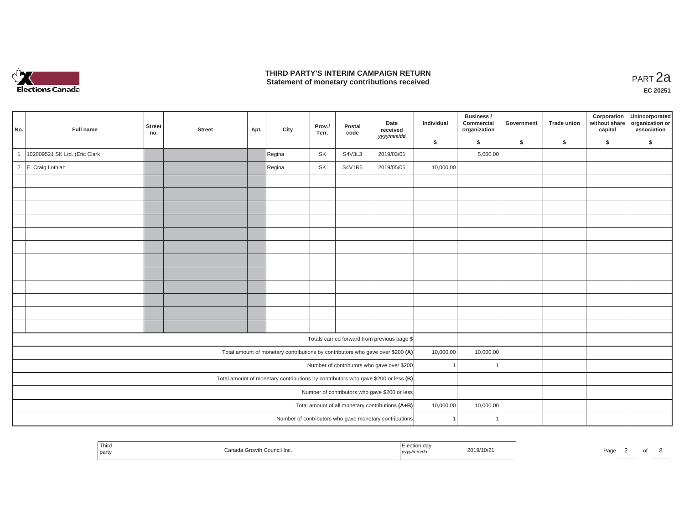

### **THIRD PARTY'S INTERIM CAMPAIGN RETURN THIRD PARTY'S INTERIM CAMPAIGN RETURN<br>Statement of monetary contributions received**

8

| No.            | Full name                                     | <b>Street</b><br>no.                             | <b>Street</b> | Apt.      | City   | Prov./<br>Terr. | Postal<br>code | Date<br>received                                                                  | Individual | Business /<br>Commercial<br>organization | Government | <b>Trade union</b> | Corporation<br>without share<br>capital | Unincorporated<br>organization or<br>association |
|----------------|-----------------------------------------------|--------------------------------------------------|---------------|-----------|--------|-----------------|----------------|-----------------------------------------------------------------------------------|------------|------------------------------------------|------------|--------------------|-----------------------------------------|--------------------------------------------------|
|                |                                               |                                                  |               |           |        |                 |                | yyyy/mm/dd                                                                        | \$         | \$                                       | \$         | \$                 | \$                                      | \$                                               |
| 1              | 102009521 SK Ltd. (Eric Clark                 |                                                  |               |           | Regina | SK              | S4V3L3         | 2019/03/01                                                                        |            | 5,000.00                                 |            |                    |                                         |                                                  |
| $\overline{2}$ | E. Craig Lothian                              |                                                  |               |           | Regina | SK              | <b>S4V1R5</b>  | 2019/05/05                                                                        | 10,000.00  |                                          |            |                    |                                         |                                                  |
|                |                                               |                                                  |               |           |        |                 |                |                                                                                   |            |                                          |            |                    |                                         |                                                  |
|                |                                               |                                                  |               |           |        |                 |                |                                                                                   |            |                                          |            |                    |                                         |                                                  |
|                |                                               |                                                  |               |           |        |                 |                |                                                                                   |            |                                          |            |                    |                                         |                                                  |
|                |                                               |                                                  |               |           |        |                 |                |                                                                                   |            |                                          |            |                    |                                         |                                                  |
|                |                                               |                                                  |               |           |        |                 |                |                                                                                   |            |                                          |            |                    |                                         |                                                  |
|                |                                               |                                                  |               |           |        |                 |                |                                                                                   |            |                                          |            |                    |                                         |                                                  |
|                |                                               |                                                  |               |           |        |                 |                |                                                                                   |            |                                          |            |                    |                                         |                                                  |
|                |                                               |                                                  |               |           |        |                 |                |                                                                                   |            |                                          |            |                    |                                         |                                                  |
|                |                                               |                                                  |               |           |        |                 |                |                                                                                   |            |                                          |            |                    |                                         |                                                  |
|                |                                               |                                                  |               |           |        |                 |                |                                                                                   |            |                                          |            |                    |                                         |                                                  |
|                |                                               |                                                  |               |           |        |                 |                |                                                                                   |            |                                          |            |                    |                                         |                                                  |
|                |                                               |                                                  |               |           |        |                 |                |                                                                                   |            |                                          |            |                    |                                         |                                                  |
|                |                                               |                                                  |               |           |        |                 |                | Totals carried forward from previous page \$                                      |            |                                          |            |                    |                                         |                                                  |
|                |                                               |                                                  |               |           |        |                 |                | Total amount of monetary contributions by contributors who gave over \$200 (A)    | 10,000.00  | 10,000.00                                |            |                    |                                         |                                                  |
|                |                                               |                                                  |               |           |        |                 |                | Number of contributors who gave over \$200                                        |            |                                          |            |                    |                                         |                                                  |
|                |                                               |                                                  |               |           |        |                 |                | Total amount of monetary contributions by contributors who gave \$200 or less (B) |            |                                          |            |                    |                                         |                                                  |
|                | Number of contributors who gave \$200 or less |                                                  |               |           |        |                 |                |                                                                                   |            |                                          |            |                    |                                         |                                                  |
|                |                                               | Total amount of all monetary contributions (A+B) | 10,000.00     | 10,000.00 |        |                 |                |                                                                                   |            |                                          |            |                    |                                         |                                                  |
|                |                                               |                                                  |               |           |        |                 |                | Number of contributors who gave monetary contributions                            |            |                                          |            |                    |                                         |                                                  |

| Third<br>par<br>uunun mu.<br>,,,,, |  | Pag |
|------------------------------------|--|-----|
|------------------------------------|--|-----|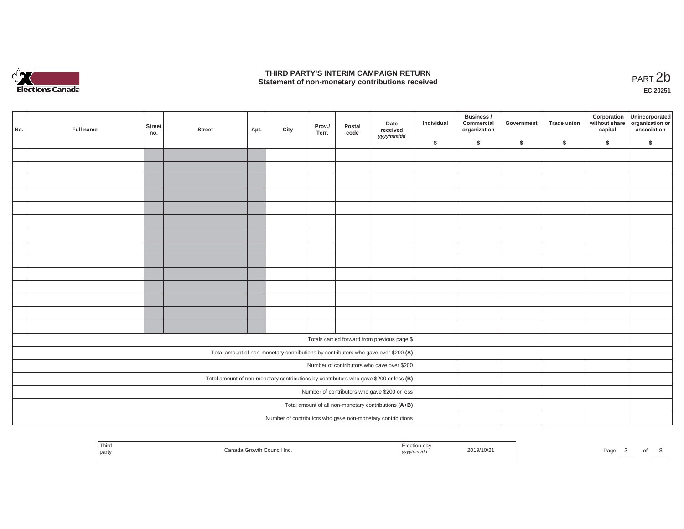

### **THIRD PARTY'S INTERIM CAMPAIGN RETURN**  THIRD PARTY'S INTERIM CAMPAIGN RETURN<br>Statement of non-monetary contributions received **PART 2b**

**EC 20251**

| No. |                                                                                       | Full name | <b>Street</b><br>no. | <b>Street</b> | Apt. | City | Prov./<br>Terr. | Postal<br>code | Date<br>received<br>yyyy/mm/dd                                                     | Individual | Business /<br>Commercial<br>organization | Government | Trade union | Corporation<br>without share<br>capital | Unincorporated<br>organization or<br>association |
|-----|---------------------------------------------------------------------------------------|-----------|----------------------|---------------|------|------|-----------------|----------------|------------------------------------------------------------------------------------|------------|------------------------------------------|------------|-------------|-----------------------------------------|--------------------------------------------------|
|     |                                                                                       |           |                      |               |      |      |                 |                |                                                                                    | \$         | \$                                       | \$         | $\sqrt{2}$  | \$                                      | \$                                               |
|     |                                                                                       |           |                      |               |      |      |                 |                |                                                                                    |            |                                          |            |             |                                         |                                                  |
|     |                                                                                       |           |                      |               |      |      |                 |                |                                                                                    |            |                                          |            |             |                                         |                                                  |
|     |                                                                                       |           |                      |               |      |      |                 |                |                                                                                    |            |                                          |            |             |                                         |                                                  |
|     |                                                                                       |           |                      |               |      |      |                 |                |                                                                                    |            |                                          |            |             |                                         |                                                  |
|     |                                                                                       |           |                      |               |      |      |                 |                |                                                                                    |            |                                          |            |             |                                         |                                                  |
|     |                                                                                       |           |                      |               |      |      |                 |                |                                                                                    |            |                                          |            |             |                                         |                                                  |
|     |                                                                                       |           |                      |               |      |      |                 |                |                                                                                    |            |                                          |            |             |                                         |                                                  |
|     |                                                                                       |           |                      |               |      |      |                 |                |                                                                                    |            |                                          |            |             |                                         |                                                  |
|     |                                                                                       |           |                      |               |      |      |                 |                |                                                                                    |            |                                          |            |             |                                         |                                                  |
|     |                                                                                       |           |                      |               |      |      |                 |                |                                                                                    |            |                                          |            |             |                                         |                                                  |
|     |                                                                                       |           |                      |               |      |      |                 |                |                                                                                    |            |                                          |            |             |                                         |                                                  |
|     |                                                                                       |           |                      |               |      |      |                 |                |                                                                                    |            |                                          |            |             |                                         |                                                  |
|     |                                                                                       |           |                      |               |      |      |                 |                |                                                                                    |            |                                          |            |             |                                         |                                                  |
|     |                                                                                       |           |                      |               |      |      |                 |                |                                                                                    |            |                                          |            |             |                                         |                                                  |
|     |                                                                                       |           |                      |               |      |      |                 |                | Totals carried forward from previous page \$                                       |            |                                          |            |             |                                         |                                                  |
|     |                                                                                       |           |                      |               |      |      |                 |                | Total amount of non-monetary contributions by contributors who gave over \$200 (A) |            |                                          |            |             |                                         |                                                  |
|     |                                                                                       |           |                      |               |      |      |                 |                | Number of contributors who gave over \$200                                         |            |                                          |            |             |                                         |                                                  |
|     | Total amount of non-monetary contributions by contributors who gave \$200 or less (B) |           |                      |               |      |      |                 |                |                                                                                    |            |                                          |            |             |                                         |                                                  |
|     | Number of contributors who gave \$200 or less                                         |           |                      |               |      |      |                 |                |                                                                                    |            |                                          |            |             |                                         |                                                  |
|     |                                                                                       |           |                      |               |      |      |                 |                | Total amount of all non-monetary contributions (A+B)                               |            |                                          |            |             |                                         |                                                  |
|     |                                                                                       |           |                      |               |      |      |                 |                | Number of contributors who gave non-monetary contributions                         |            |                                          |            |             |                                         |                                                  |

| Third<br>Canada Growth Council Inc.<br>party | ⊤ction dav<br>2019/10/2<br>√mm/da<br>  <i>yyyy</i> | Page |
|----------------------------------------------|----------------------------------------------------|------|
|----------------------------------------------|----------------------------------------------------|------|

3 of 8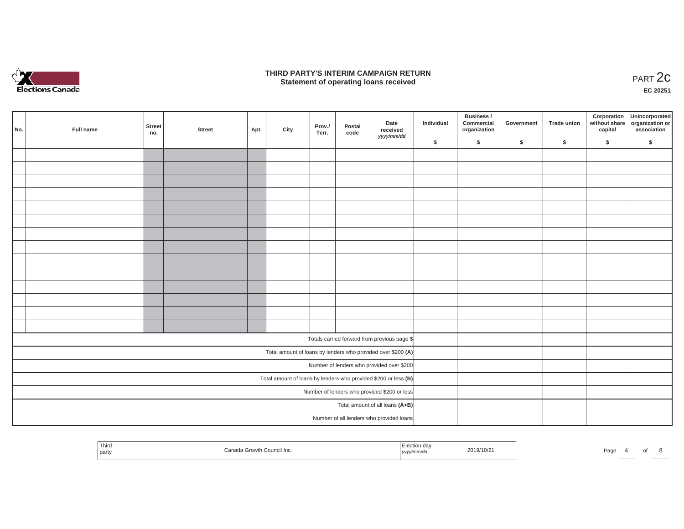

### **THIRD PARTY'S INTERIM CAMPAIGN RETURN**  RD PARTY'S INTERIM CAMPAIGN RETURN<br>Statement of operating loans received **PART 2c**

**EC 20251**

|     |                                                                   |                                 |        |      |      |                 |                |                                                              |            | Business /                 |            |             |         | Corporation Unincorporated<br>without share organization or |
|-----|-------------------------------------------------------------------|---------------------------------|--------|------|------|-----------------|----------------|--------------------------------------------------------------|------------|----------------------------|------------|-------------|---------|-------------------------------------------------------------|
| No. | Full name                                                         | Street<br>no.                   | Street | Apt. | City | Prov./<br>Terr. | Postal<br>code | Date<br>received<br>yyyy/mm/dd                               | Individual | Commercial<br>organization | Government | Trade union | capital | association                                                 |
|     |                                                                   |                                 |        |      |      |                 |                |                                                              | \$         | $\sqrt{2}$                 | \$         | $\sqrt{2}$  | \$      | \$                                                          |
|     |                                                                   |                                 |        |      |      |                 |                |                                                              |            |                            |            |             |         |                                                             |
|     |                                                                   |                                 |        |      |      |                 |                |                                                              |            |                            |            |             |         |                                                             |
|     |                                                                   |                                 |        |      |      |                 |                |                                                              |            |                            |            |             |         |                                                             |
|     |                                                                   |                                 |        |      |      |                 |                |                                                              |            |                            |            |             |         |                                                             |
|     |                                                                   |                                 |        |      |      |                 |                |                                                              |            |                            |            |             |         |                                                             |
|     |                                                                   |                                 |        |      |      |                 |                |                                                              |            |                            |            |             |         |                                                             |
|     |                                                                   |                                 |        |      |      |                 |                |                                                              |            |                            |            |             |         |                                                             |
|     |                                                                   |                                 |        |      |      |                 |                |                                                              |            |                            |            |             |         |                                                             |
|     |                                                                   |                                 |        |      |      |                 |                |                                                              |            |                            |            |             |         |                                                             |
|     |                                                                   |                                 |        |      |      |                 |                |                                                              |            |                            |            |             |         |                                                             |
|     |                                                                   |                                 |        |      |      |                 |                |                                                              |            |                            |            |             |         |                                                             |
|     |                                                                   |                                 |        |      |      |                 |                |                                                              |            |                            |            |             |         |                                                             |
|     |                                                                   |                                 |        |      |      |                 |                |                                                              |            |                            |            |             |         |                                                             |
|     |                                                                   |                                 |        |      |      |                 |                |                                                              |            |                            |            |             |         |                                                             |
|     |                                                                   |                                 |        |      |      |                 |                | Totals carried forward from previous page \$                 |            |                            |            |             |         |                                                             |
|     |                                                                   |                                 |        |      |      |                 |                | Total amount of loans by lenders who provided over \$200 (A) |            |                            |            |             |         |                                                             |
|     |                                                                   |                                 |        |      |      |                 |                | Number of lenders who provided over \$200                    |            |                            |            |             |         |                                                             |
|     | Total amount of loans by lenders who provided \$200 or less $(B)$ |                                 |        |      |      |                 |                |                                                              |            |                            |            |             |         |                                                             |
|     | Number of lenders who provided \$200 or less                      |                                 |        |      |      |                 |                |                                                              |            |                            |            |             |         |                                                             |
|     |                                                                   | Total amount of all loans (A+B) |        |      |      |                 |                |                                                              |            |                            |            |             |         |                                                             |
|     |                                                                   |                                 |        |      |      |                 |                | Number of all lenders who provided loans                     |            |                            |            |             |         |                                                             |

| Thirc<br>2019/10/21<br>Page<br>COUNCIL INC.<br>party<br>,,,,,<br>. |  |  |  |
|--------------------------------------------------------------------|--|--|--|
|--------------------------------------------------------------------|--|--|--|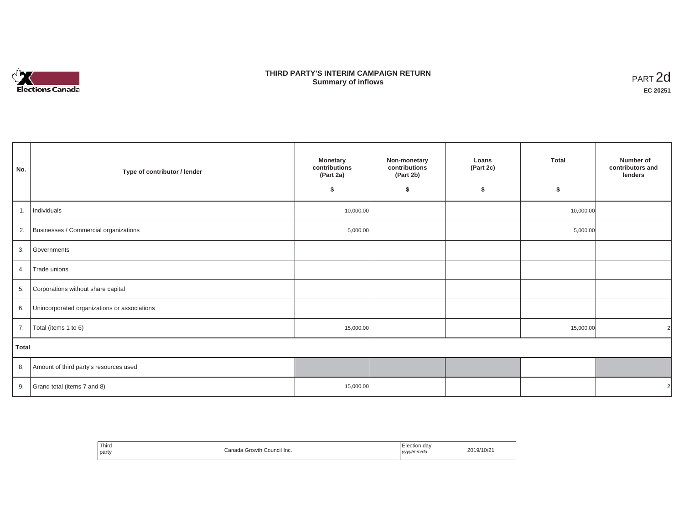

## **THIRD PARTY'S INTERIM CAMPAIGN RETURN SUMMARY STATE SUMMARY OF A SUMMARY OF A SUMMARY OF A SUMMARY OF A SUMMARY OF A SUMMARY OF A SUMMARY OF A SUMMA**<br> **Summary of inflows**

| No.          | Type of contributor / lender                    | <b>Monetary</b><br>contributions<br>(Part 2a)<br>\$ | Non-monetary<br>contributions<br>(Part 2b)<br>\$ | Loans<br>(Part 2c)<br>\$ | Total<br>\$ | Number of<br>contributors and<br>lenders |
|--------------|-------------------------------------------------|-----------------------------------------------------|--------------------------------------------------|--------------------------|-------------|------------------------------------------|
| 1.           | Individuals                                     | 10,000.00                                           |                                                  |                          | 10,000.00   |                                          |
|              | 2. Businesses / Commercial organizations        | 5,000.00                                            |                                                  |                          | 5,000.00    |                                          |
|              | 3. Governments                                  |                                                     |                                                  |                          |             |                                          |
| 4.           | Trade unions                                    |                                                     |                                                  |                          |             |                                          |
| 5.           | Corporations without share capital              |                                                     |                                                  |                          |             |                                          |
|              | 6. Unincorporated organizations or associations |                                                     |                                                  |                          |             |                                          |
| 7.           | Total (items 1 to 6)                            | 15,000.00                                           |                                                  |                          | 15,000.00   |                                          |
| <b>Total</b> |                                                 |                                                     |                                                  |                          |             |                                          |
|              | 8. Amount of third party's resources used       |                                                     |                                                  |                          |             |                                          |
| 9.           | Grand total (items 7 and 8)                     | 15,000.00                                           |                                                  |                          |             |                                          |

| Third<br>party | `onodi<br>Council Inc.<br>Growth | ੮lection<br>dav<br>, yyyy/mm/dd<br>. | 2019/10/2 |
|----------------|----------------------------------|--------------------------------------|-----------|
|----------------|----------------------------------|--------------------------------------|-----------|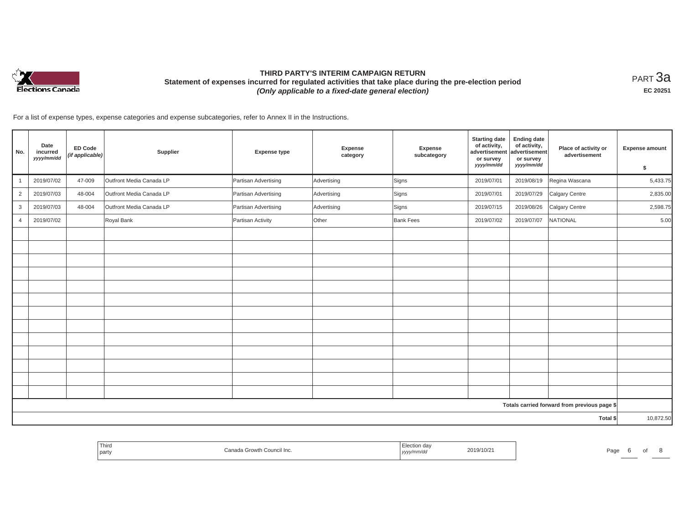

# **THIRD PARTY'S INTERIM CAMPAIGN RETURN Statement of expenses incurred for regulated activities that take place during the pre-election period**  *(Only applicable to a fixed-date general election)*

<code>PART $3$ a</code> **EC 20251**

For a list of expense types, expense categories and expense subcategories, refer to Annex II in the Instructions.

| No.            | Date<br>incurred<br>yyyy/mm/dd | <b>ED Code</b><br>(if applicable) | Supplier                 | <b>Expense type</b>  | <b>Expense</b><br>category | Expense<br>subcategory | <b>Starting date</b><br>of activity,<br>advertisement<br>or survey<br>yyyy/mm/dd | <b>Ending date</b><br>of activity,<br>advertisement<br>or survey<br>yyyy/mm/dd | Place of activity or<br>advertisement        | <b>Expense amount</b><br>\$ |
|----------------|--------------------------------|-----------------------------------|--------------------------|----------------------|----------------------------|------------------------|----------------------------------------------------------------------------------|--------------------------------------------------------------------------------|----------------------------------------------|-----------------------------|
| $\mathbf{1}$   | 2019/07/02                     | 47-009                            | Outfront Media Canada LP | Partisan Advertising | Advertising                | Signs                  | 2019/07/01                                                                       | 2019/08/19                                                                     | Regina Wascana                               | 5,433.75                    |
| $\overline{2}$ | 2019/07/03                     | 48-004                            | Outfront Media Canada LP | Partisan Advertising | Advertising                | Signs                  | 2019/07/01                                                                       | 2019/07/29                                                                     | Calgary Centre                               | 2,835.00                    |
| $\mathbf{3}$   | 2019/07/03                     | 48-004                            | Outfront Media Canada LP | Partisan Advertising | Advertising                | Signs                  | 2019/07/15                                                                       | 2019/08/26                                                                     | Calgary Centre                               | 2,598.75                    |
| 4              | 2019/07/02                     |                                   | Royal Bank               | Partisan Activity    | Other                      | <b>Bank Fees</b>       | 2019/07/02                                                                       | 2019/07/07                                                                     | NATIONAL                                     | 5.00                        |
|                |                                |                                   |                          |                      |                            |                        |                                                                                  |                                                                                |                                              |                             |
|                |                                |                                   |                          |                      |                            |                        |                                                                                  |                                                                                |                                              |                             |
|                |                                |                                   |                          |                      |                            |                        |                                                                                  |                                                                                |                                              |                             |
|                |                                |                                   |                          |                      |                            |                        |                                                                                  |                                                                                |                                              |                             |
|                |                                |                                   |                          |                      |                            |                        |                                                                                  |                                                                                |                                              |                             |
|                |                                |                                   |                          |                      |                            |                        |                                                                                  |                                                                                |                                              |                             |
|                |                                |                                   |                          |                      |                            |                        |                                                                                  |                                                                                |                                              |                             |
|                |                                |                                   |                          |                      |                            |                        |                                                                                  |                                                                                |                                              |                             |
|                |                                |                                   |                          |                      |                            |                        |                                                                                  |                                                                                |                                              |                             |
|                |                                |                                   |                          |                      |                            |                        |                                                                                  |                                                                                |                                              |                             |
|                |                                |                                   |                          |                      |                            |                        |                                                                                  |                                                                                |                                              |                             |
|                |                                |                                   |                          |                      |                            |                        |                                                                                  |                                                                                |                                              |                             |
|                |                                |                                   |                          |                      |                            |                        |                                                                                  |                                                                                |                                              |                             |
|                |                                |                                   |                          |                      |                            |                        |                                                                                  |                                                                                | Totals carried forward from previous page \$ |                             |
|                |                                |                                   |                          |                      |                            |                        |                                                                                  |                                                                                | Total \$                                     | 10,872.50                   |

| party<br>, уууулг<br>$\cdots$ |  | Third | <sup>+h</sup> Council Inc.<br>Canada⊣<br>Growth | ion da<br>. | 2019/10/2 | Page |  |  |  |
|-------------------------------|--|-------|-------------------------------------------------|-------------|-----------|------|--|--|--|
|-------------------------------|--|-------|-------------------------------------------------|-------------|-----------|------|--|--|--|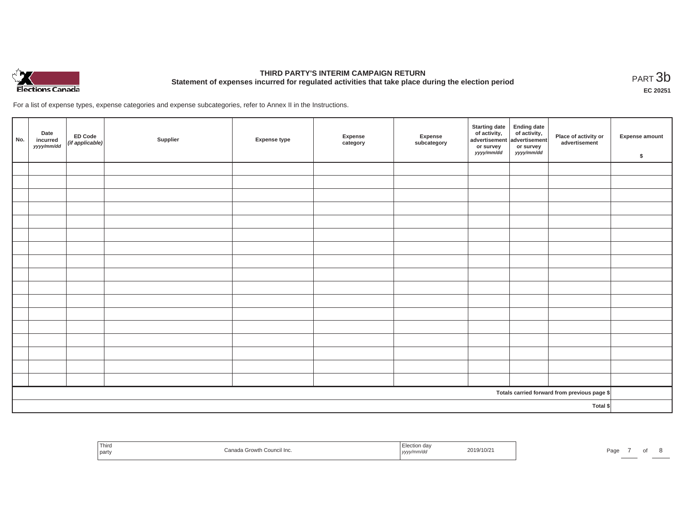

# **THIRD PARTY'S INTERIM CAMPAIGN RETURN Statement of expenses incurred for regulated activities that take place during the election period**<br>PART  $3b$

**EC 20251**

For a list of expense types, expense categories and expense subcategories, refer to Annex II in the Instructions.

| No.      | Date<br>incurred<br>yyyy/mm/dd | ED Code<br>(if applicable) | Supplier | <b>Expense type</b> | Expense<br>category | Expense<br>subcategory | Starting date<br>of activity,<br>advertisement<br>or survey<br>yyyy/mm/dd | Ending date<br>of activity,<br>advertisement<br>or survey<br>yyyy/mm/dd | Place of activity or<br>advertisement        | Expense amount<br>\$ |
|----------|--------------------------------|----------------------------|----------|---------------------|---------------------|------------------------|---------------------------------------------------------------------------|-------------------------------------------------------------------------|----------------------------------------------|----------------------|
|          |                                |                            |          |                     |                     |                        |                                                                           |                                                                         |                                              |                      |
|          |                                |                            |          |                     |                     |                        |                                                                           |                                                                         |                                              |                      |
|          |                                |                            |          |                     |                     |                        |                                                                           |                                                                         |                                              |                      |
|          |                                |                            |          |                     |                     |                        |                                                                           |                                                                         |                                              |                      |
|          |                                |                            |          |                     |                     |                        |                                                                           |                                                                         |                                              |                      |
|          |                                |                            |          |                     |                     |                        |                                                                           |                                                                         |                                              |                      |
|          |                                |                            |          |                     |                     |                        |                                                                           |                                                                         |                                              |                      |
|          |                                |                            |          |                     |                     |                        |                                                                           |                                                                         |                                              |                      |
|          |                                |                            |          |                     |                     |                        |                                                                           |                                                                         |                                              |                      |
|          |                                |                            |          |                     |                     |                        |                                                                           |                                                                         |                                              |                      |
|          |                                |                            |          |                     |                     |                        |                                                                           |                                                                         |                                              |                      |
|          |                                |                            |          |                     |                     |                        |                                                                           |                                                                         |                                              |                      |
|          |                                |                            |          |                     |                     |                        |                                                                           |                                                                         |                                              |                      |
|          |                                |                            |          |                     |                     |                        |                                                                           |                                                                         |                                              |                      |
|          |                                |                            |          |                     |                     |                        |                                                                           |                                                                         |                                              |                      |
|          |                                |                            |          |                     |                     |                        |                                                                           |                                                                         |                                              |                      |
|          |                                |                            |          |                     |                     |                        |                                                                           |                                                                         |                                              |                      |
|          |                                |                            |          |                     |                     |                        |                                                                           |                                                                         | Totals carried forward from previous page \$ |                      |
| Total \$ |                                |                            |          |                     |                     |                        |                                                                           |                                                                         |                                              |                      |

| Third<br>party | . Growth<br>n Council Inc. | n do<br>LICUIUI UQV<br>2019/10/2<br>yyyy/mm/dd | Page |  |
|----------------|----------------------------|------------------------------------------------|------|--|
|----------------|----------------------------|------------------------------------------------|------|--|